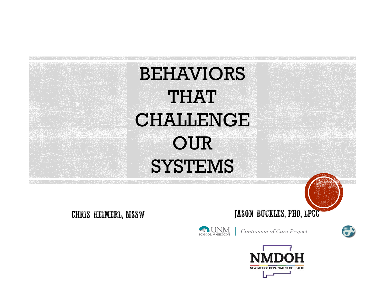

**CHRIS HEIMERL, MSSW** 

JASON BUCKLES, PHD, LPCC



Continuum of Care Project



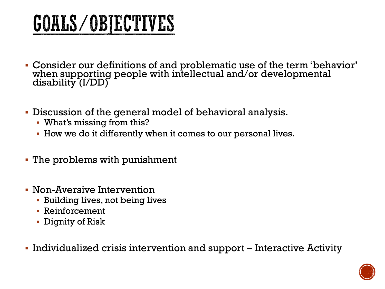# **GOALS/OBJECTIVES**

- Consider our definitions of and problematic use of the term 'behavior' when supporting people with intellectual and/or developmental disability (I/DD)
- Discussion of the general model of behavioral analysis.
	- What's missing from this?
	- How we do it differently when it comes to our personal lives.
- The problems with punishment
- Non-Aversive Intervention
	- **E** Building lives, not being lives
	- Reinforcement
	- Dignity of Risk
- Individualized crisis intervention and support Interactive Activity

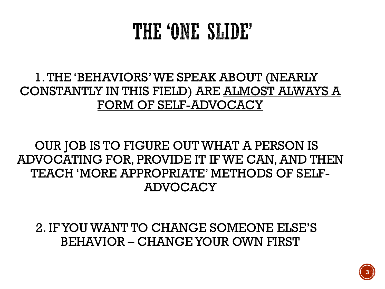### THE 'ONE SLIDE'

#### 1. THE 'BEHAVIORS' WE SPEAK ABOUT (NEARLY CONSTANTLY IN THIS FIELD) ARE ALMOST ALWAYS A FORM OF SELF-ADVOCACY

#### OUR JOB IS TO FIGURE OUT WHAT A PERSON IS ADVOCATING FOR, PROVIDE IT IF WE CAN, AND THEN TEACH 'MORE APPROPRIATE' METHODS OF SELF-ADVOCACY

2. IF YOU WANT TO CHANGE SOMEONE ELSE'S BEHAVIOR – CHANGE YOUR OWN FIRST

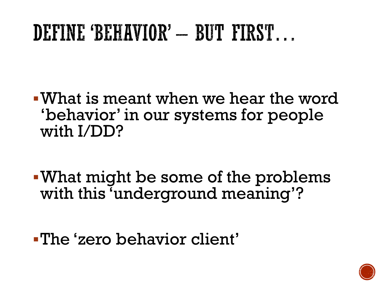# DEFINE 'BEHAVIOR' - BUT FIRST...

▪What is meant when we hear the word 'behavior' in our systems for people with I/DD?

▪What might be some of the problems with this 'underground meaning'?

▪The 'zero behavior client'

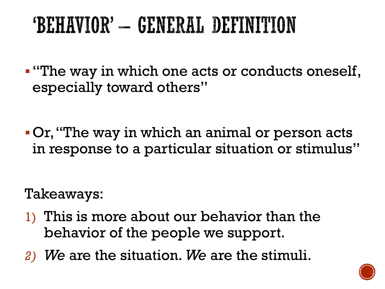# 'BEHAVIOR' – GENERAL DEFINITION

- ▪"The way in which one acts or conducts oneself, especially toward others"
- ▪Or, "The way in which an animal or person acts in response to a particular situation or stimulus"

Takeaways:

- 1) This is more about our behavior than the behavior of the people we support.
- *2) We* are the situation. *We* are the stimuli.

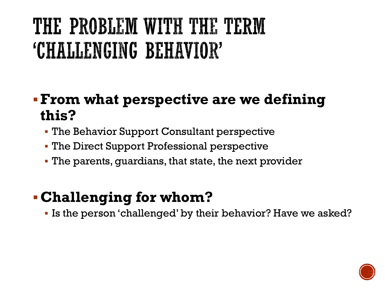# THE PROBLEM WITH THE TERM 'CHALLENGING BEHAVIOR'

#### ▪**From what perspective are we defining this?**

- **The Behavior Support Consultant perspective**
- **The Direct Support Professional perspective**
- **The parents, guardians, that state, the next provider**

#### ▪**Challenging for whom?**

▪ Is the person 'challenged' by their behavior? Have we asked?

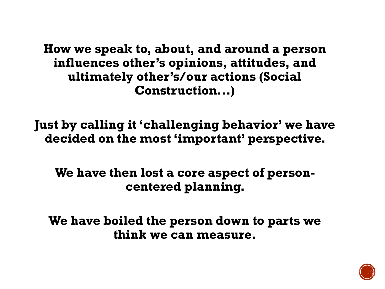**How we speak to, about, and around a person influences other's opinions, attitudes, and ultimately other's/our actions (Social Construction...)**

**Just by calling it 'challenging behavior' we have decided on the most 'important' perspective.** 

**We have then lost a core aspect of personcentered planning.** 

**We have boiled the person down to parts we think we can measure.**

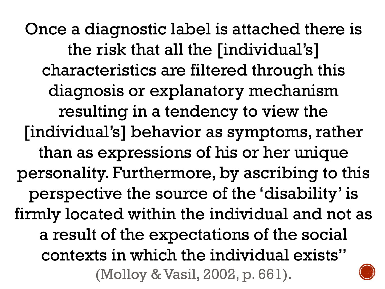Once a diagnostic label is attached there is the risk that all the [individual's] characteristics are filtered through this diagnosis or explanatory mechanism resulting in a tendency to view the [individual's] behavior as symptoms, rather than as expressions of his or her unique personality. Furthermore, by ascribing to this perspective the source of the 'disability' is firmly located within the individual and not as a result of the expectations of the social contexts in which the individual exists" (Molloy & Vasil, 2002, p. 661).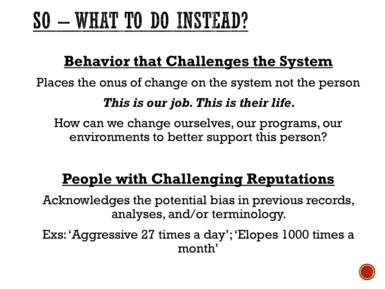# SO - WHAT TO DO INSTEAD?

### **Behavior that Challenges the System**

Places the onus of change on the system not the person

#### *This is our job. This is their life.*

How can we change ourselves, our programs, our environments to better support this person?

### **People with Challenging Reputations**

Acknowledges the potential bias in previous records, analyses, and/or terminology.

Exs: 'Aggressive 27 times a day'; 'Elopes 1000 times a month'

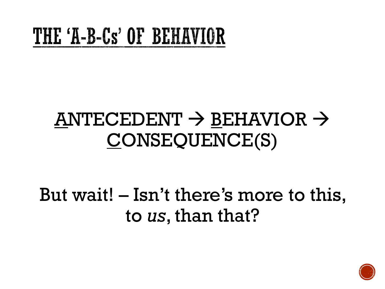# THE 'A-B-Cs' OF BEHAVIOR

### $ANTECEDENT \rightarrow BEHAVIOR \rightarrow$ CONSEQUENCE(S)

But wait! – Isn't there's more to this, to *us*, than that?

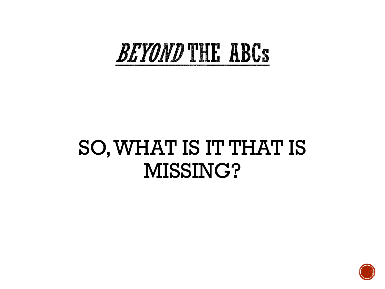# **BEYOND THE ABCS**

### SO, WHAT IS IT THAT IS MISSING?

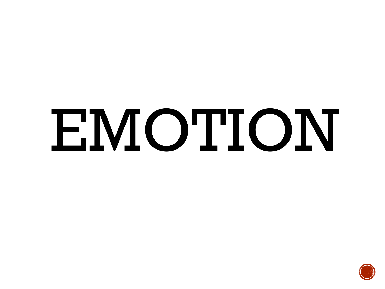# EMOTION

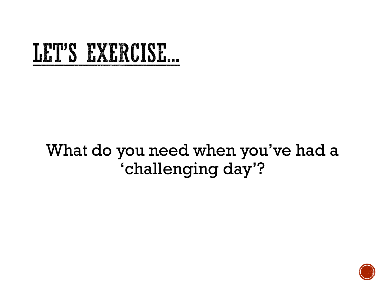# LET'S EXERCISE...

### What do you need when you've had a 'challenging day'?

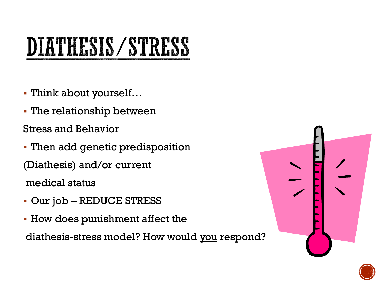# DIATHESIS/STRESS

- Think about yourself…
- **The relationship between**

Stress and Behavior

- **Then add genetic predisposition** (Diathesis) and/or current medical status
- Our job REDUCE STRESS
- **How does punishment affect the**

diathesis-stress model? How would you respond?



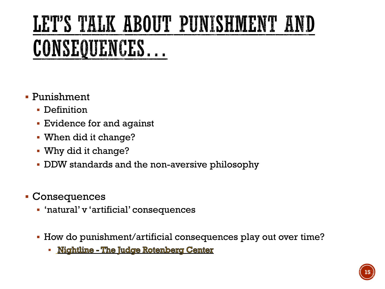# LET'S TALK ABOUT PUNISHMENT AND CONSEQUENCES...

- Punishment
	- **Definition**
	- **Exidence for and against**
	- When did it change?
	- Why did it change?
	- DDW standards and the non-aversive philosophy
- Consequences
	- 'natural' v 'artificial' consequences
	- How do punishment/artificial consequences play out over time?
		- · Nightline The Judge Rotenberg Center

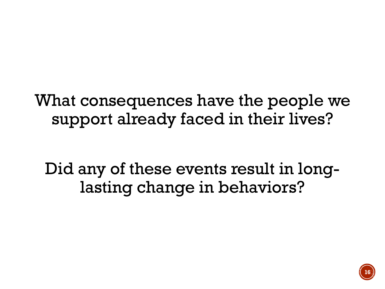What consequences have the people we support already faced in their lives?

Did any of these events result in longlasting change in behaviors?

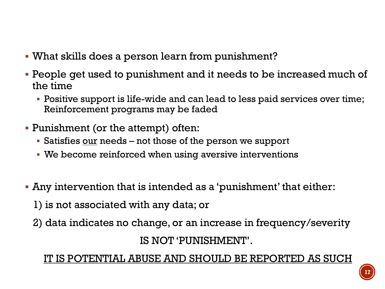- What skills does a person learn from punishment?
- People get used to punishment and it needs to be increased much of the time
	- Positive support is life-wide and can lead to less paid services over time; Reinforcement programs may be faded
- Punishment (or the attempt) often:
	- Satisfies our needs not those of the person we support
	- **We become reinforced when using aversive interventions**
- Any intervention that is intended as a 'punishment' that either:
	- 1) is not associated with any data; or
	- 2) data indicates no change, or an increase in frequency/severity

IS NOT 'PUNISHMENT'.

#### <u>IT IS POTENTIAL ABUSE AND SHOULD BE REPORTED AS SUCH</u>

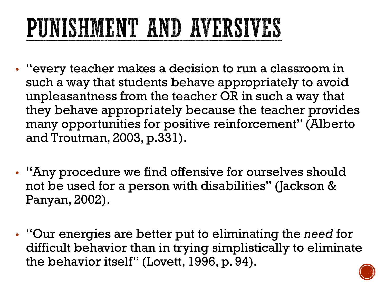# PUNISHMENT AND AVERSIVES

- "every teacher makes a decision to run a classroom in such a way that students behave appropriately to avoid unpleasantness from the teacher OR in such a way that they behave appropriately because the teacher provides many opportunities for positive reinforcement" (Alberto and Troutman, 2003, p.331).
- "Any procedure we find offensive for ourselves should not be used for a person with disabilities" (Jackson & Panyan, 2002).
- "Our energies are better put to eliminating the *need* for difficult behavior than in trying simplistically to eliminate the behavior itself" (Lovett, 1996, p. 94).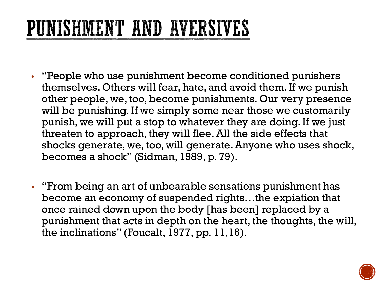# PUNISHMENT AND AVERSIVES

- "People who use punishment become conditioned punishers themselves. Others will fear, hate, and avoid them. If we punish other people, we, too, become punishments. Our very presence will be punishing. If we simply some near those we customarily punish, we will put a stop to whatever they are doing. If we just threaten to approach, they will flee. All the side effects that shocks generate, we, too, will generate. Anyone who uses shock, becomes a shock" (Sidman, 1989, p. 79).
- "From being an art of unbearable sensations punishment has become an economy of suspended rights…the expiation that once rained down upon the body [has been] replaced by a punishment that acts in depth on the heart, the thoughts, the will, the inclinations" (Foucalt, 1977, pp. 11,16).

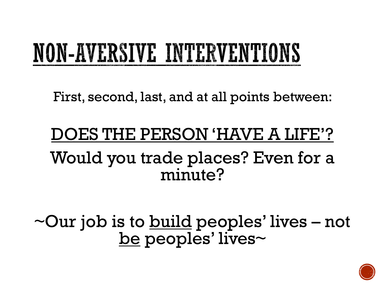# NON-AVERSIVE INTERVENTIONS

First, second, last, and at all points between:

### OES THE PERSON 'HAVE A LIFE'? Would you trade places? Even for a minute?

 $\sim$ Our job is to <u>build</u> peoples' lives – not be peoples' lives~

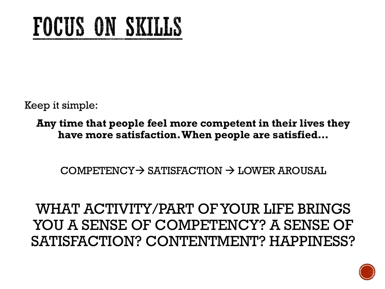# FOCUS ON SKILLS

Keep it simple:

**Any time that people feel more competent in their lives they have more satisfaction. When people are satisfied…**

 $COMPETENCY \rightarrow SATISFACTION \rightarrow LOWER AROUSAL$ 

WHAT ACTIVITY/PART OF YOUR LIFE BRINGS YOU A SENSE OF COMPETENCY? A SENSE OF SATISFACTION? CONTENTMENT? HAPPINESS?

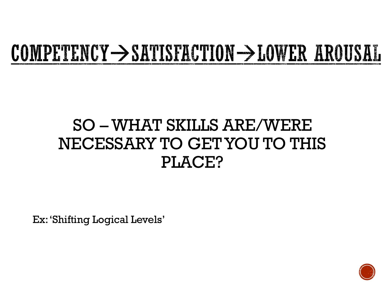# COMPETENCY  $\rightarrow$  SATISFACTION  $\rightarrow$  LOWER AROUSAL

### SO –WHAT SKILLS ARE/WERE NECESSARY TO GET YOU TO THIS PLACE?

Ex: 'Shifting Logical Levels'

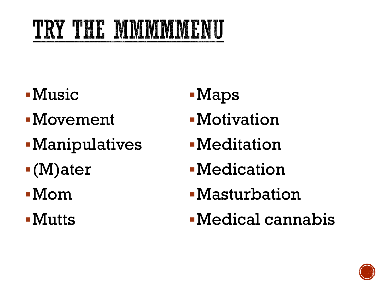- ▪Music
- ▪Movement
- ▪Manipulatives
- ▪(M)ater
- ▪Mom
- ▪Mutts
- ▪Maps
- **-Motivation**
- **-Meditation**
- **•Medication**
- **-Masturbation**
- ▪Medical cannabis

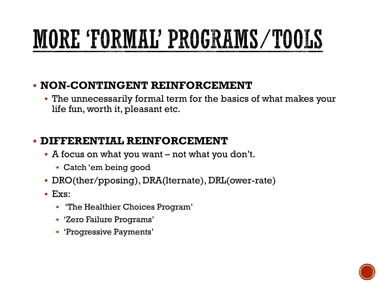# MORE TORMAL' PROGRAMS/TOOLS

#### ▪ **NON-CONTINGENT REINFORCEMENT**

**.** The unnecessarily formal term for the basics of what makes your life fun, worth it, pleasant etc.

#### ▪ **DIFFERENTIAL REINFORCEMENT**

- $\blacksquare$  A focus on what you want not what you don't.
	- Catch 'em being good
- DRO(ther/pposing), DRA(lternate), DRL(ower-rate)
- Exs:
	- 'The Healthier Choices Program'
	- 'Zero Failure Programs'
	- 'Progressive Payments'

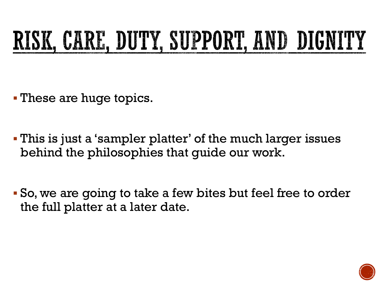# RISK, CARE, DUTY, SUPPORT, AND DIGNITY

- **These are huge topics.**
- This is just a 'sampler platter' of the much larger issues behind the philosophies that guide our work.
- So, we are going to take a few bites but feel free to order the full platter at a later date.

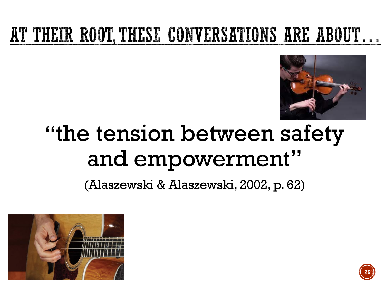### AT THEIR ROOT, THESE CONVERSATIONS ARE ABOUT...



# "the tension between safety and empowerment"

(Alaszewski & Alaszewski, 2002, p. 62)



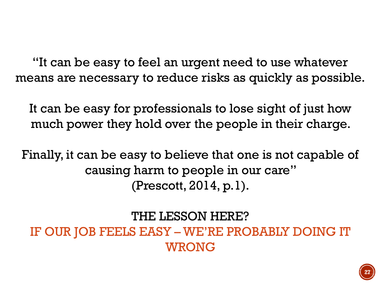"It can be easy to feel an urgent need to use whatever means are necessary to reduce risks as quickly as possible.

It can be easy for professionals to lose sight of just how much power they hold over the people in their charge.

Finally, it can be easy to believe that one is not capable of causing harm to people in our care" (Prescott, 2014, p.1).

THE LESSON HERE?

IF OUR JOB FEELS EASY – WE'RE PROBABLY DOING IT WRONG

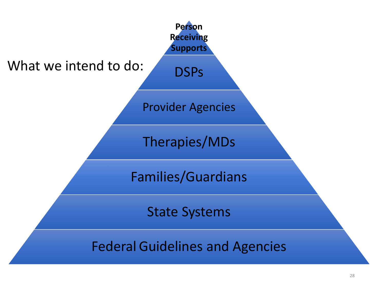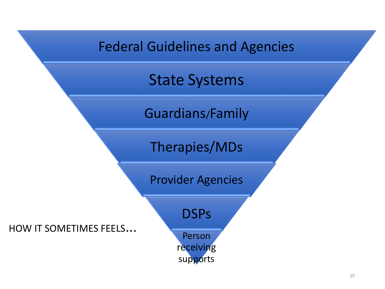





Therapies/MDs

Provider Agencies

HOW IT SOMETIMES FEELS...

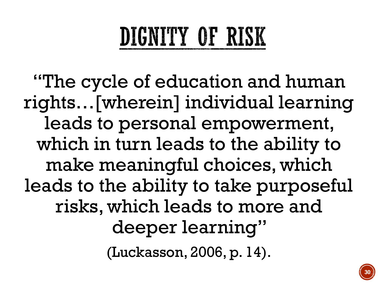# DIGNITY OF RISK

"The cycle of education and human rights…[wherein] individual learning leads to personal empowerment, which in turn leads to the ability to make meaningful choices, which leads to the ability to take purposeful risks, which leads to more and deeper learning"

(Luckasson, 2006, p. 14).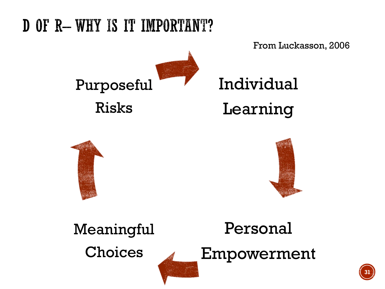### D OF R-WHY IS IT IMPORTANT?

From Luckasson, 2006



Individual Learning





Personal Empowerment Meaningful Choices

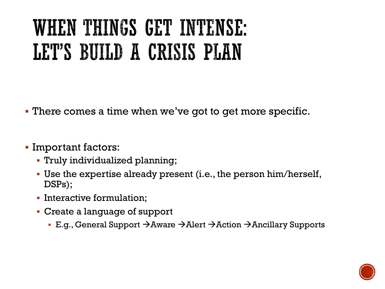# WHEN THINGS GET INTENSE: LET'S BUILD A CRISIS PLAN

- There comes a time when we've got to get more specific.
- Important factors:
	- Truly individualized planning;
	- Use the expertise already present (i.e., the person him/herself, DSPs);
	- **· Interactive formulation;**
	- Create a language of support
		- E.g., General Support →Aware →Alert →Action →Ancillary Supports

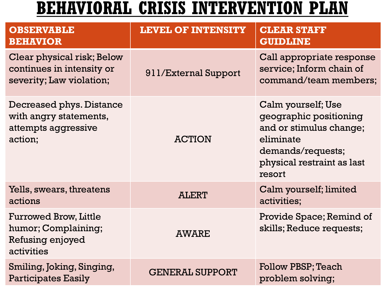### **BEHAVIORAL CRISIS INTERVENTION PLAN**

| <b>OBSERVABLE</b><br><b>BEHAVIOR</b>                                                  | <b>LEVEL OF INTENSITY</b> | <b>CLEAR STAFF</b><br><b>GUIDLINE</b>                                                                                                             |
|---------------------------------------------------------------------------------------|---------------------------|---------------------------------------------------------------------------------------------------------------------------------------------------|
| Clear physical risk; Below<br>continues in intensity or<br>severity; Law violation;   | 911/External Support      | Call appropriate response<br>service; Inform chain of<br>command/team members;                                                                    |
| Decreased phys. Distance<br>with angry statements,<br>attempts aggressive<br>action;  | <b>ACTION</b>             | Calm yourself; Use<br>geographic positioning<br>and or stimulus change;<br>eliminate<br>demands/requests;<br>physical restraint as last<br>resort |
| Yells, swears, threatens<br>actions                                                   | <b>ALERT</b>              | Calm yourself; limited<br>activities;                                                                                                             |
| <b>Furrowed Brow, Little</b><br>humor; Complaining;<br>Refusing enjoyed<br>activities | <b>AWARE</b>              | Provide Space; Remind of<br>skills; Reduce requests;                                                                                              |
| Smiling, Joking, Singing,<br><b>Participates Easily</b>                               | <b>GENERAL SUPPORT</b>    | <b>Follow PBSP; Teach</b><br>problem solving;                                                                                                     |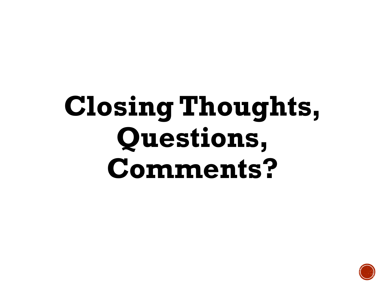# **Closing Thoughts, Questions, Comments?**

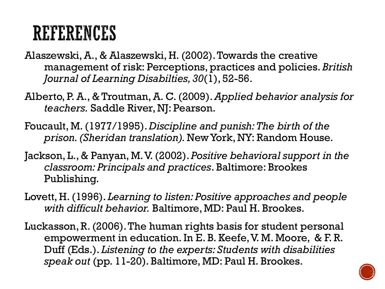### REFERENCES

- Alaszewski, A., & Alaszewski, H. (2002). Towards the creative management of risk: Perceptions, practices and policies. *British Journal of Learning Disabilties, 30*(1), 52-56.
- Alberto, P. A., & Troutman, A. C. (2009). *Applied behavior analysis for teachers.* Saddle River, NJ: Pearson.
- Foucault, M. (1977/1995). *Discipline and punish: The birth of the prison. (Sheridan translation).* New York, NY: Random House.
- Jackson, L., & Panyan, M. V. (2002). *Positive behavioral support in the classroom: Principals and practices*. Baltimore: Brookes Publishing.
- Lovett, H. (1996). *Learning to listen: Positive approaches and people with difficult behavior.* Baltimore, MD: Paul H. Brookes.
- Luckasson, R. (2006). The human rights basis for student personal empowerment in education. In E. B. Keefe, V. M. Moore, & F. R. Duff (Eds.). *Listening to the experts: Students with disabilities speak out* (pp. 11-20). Baltimore, MD: Paul H. Brookes.